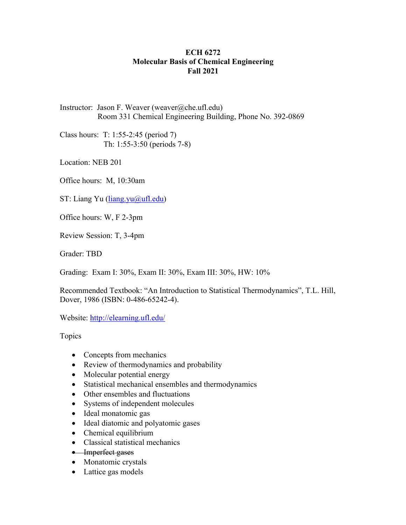## **ECH 6272 Molecular Basis of Chemical Engineering Fall 2021**

Instructor: Jason F. Weaver (weaver@che.ufl.edu) Room 331 Chemical Engineering Building, Phone No. 392-0869

Class hours: T: 1:55-2:45 (period 7) Th: 1:55-3:50 (periods 7-8)

Location: NEB 201

Office hours: M, 10:30am

ST: Liang Yu (liang.yu@ufl.edu)

Office hours: W, F 2-3pm

Review Session: T, 3-4pm

Grader: TBD

Grading: Exam I: 30%, Exam II: 30%, Exam III: 30%, HW: 10%

Recommended Textbook: "An Introduction to Statistical Thermodynamics", T.L. Hill, Dover, 1986 (ISBN: 0-486-65242-4).

Website: http://elearning.ufl.edu/

Topics

- Concepts from mechanics
- Review of thermodynamics and probability
- Molecular potential energy
- Statistical mechanical ensembles and thermodynamics
- Other ensembles and fluctuations
- Systems of independent molecules
- Ideal monatomic gas
- Ideal diatomic and polyatomic gases
- Chemical equilibrium
- Classical statistical mechanics
- Imperfect gases
- Monatomic crystals
- Lattice gas models